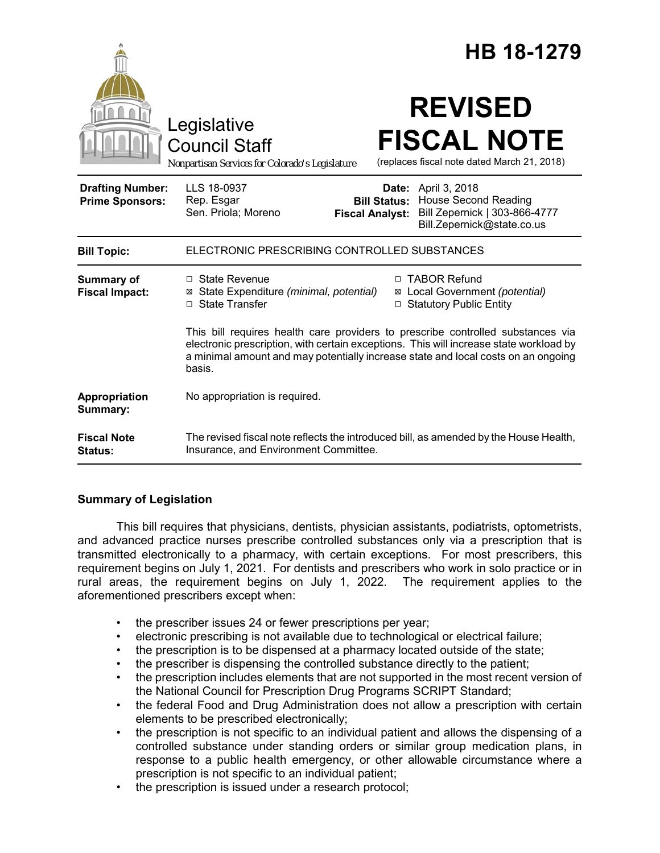|                                                   | HB 18-1279<br><b>REVISED</b><br>Legislative<br><b>FISCAL NOTE</b><br><b>Council Staff</b><br>(replaces fiscal note dated March 21, 2018)<br>Nonpartisan Services for Colorado's Legislature                                                                              |
|---------------------------------------------------|--------------------------------------------------------------------------------------------------------------------------------------------------------------------------------------------------------------------------------------------------------------------------|
| <b>Drafting Number:</b><br><b>Prime Sponsors:</b> | LLS 18-0937<br><b>Date:</b> April 3, 2018<br><b>Bill Status: House Second Reading</b><br>Rep. Esgar<br>Sen. Priola; Moreno<br>Bill Zepernick   303-866-4777<br><b>Fiscal Analyst:</b><br>Bill.Zepernick@state.co.us                                                      |
| <b>Bill Topic:</b>                                | ELECTRONIC PRESCRIBING CONTROLLED SUBSTANCES                                                                                                                                                                                                                             |
| <b>Summary of</b><br><b>Fiscal Impact:</b>        | □ TABOR Refund<br>$\Box$ State Revenue<br>⊠ Local Government (potential)<br>⊠ State Expenditure (minimal, potential)<br>□ State Transfer<br>□ Statutory Public Entity                                                                                                    |
|                                                   | This bill requires health care providers to prescribe controlled substances via<br>electronic prescription, with certain exceptions. This will increase state workload by<br>a minimal amount and may potentially increase state and local costs on an ongoing<br>basis. |
| Appropriation<br>Summary:                         | No appropriation is required.                                                                                                                                                                                                                                            |
| <b>Fiscal Note</b><br>Status:                     | The revised fiscal note reflects the introduced bill, as amended by the House Health,<br>Insurance, and Environment Committee.                                                                                                                                           |

## **Summary of Legislation**

This bill requires that physicians, dentists, physician assistants, podiatrists, optometrists, and advanced practice nurses prescribe controlled substances only via a prescription that is transmitted electronically to a pharmacy, with certain exceptions. For most prescribers, this requirement begins on July 1, 2021. For dentists and prescribers who work in solo practice or in rural areas, the requirement begins on July 1, 2022. The requirement applies to the aforementioned prescribers except when:

- the prescriber issues 24 or fewer prescriptions per year;
- electronic prescribing is not available due to technological or electrical failure;
- the prescription is to be dispensed at a pharmacy located outside of the state;
- the prescriber is dispensing the controlled substance directly to the patient;
- the prescription includes elements that are not supported in the most recent version of the National Council for Prescription Drug Programs SCRIPT Standard;
- the federal Food and Drug Administration does not allow a prescription with certain elements to be prescribed electronically;
- the prescription is not specific to an individual patient and allows the dispensing of a controlled substance under standing orders or similar group medication plans, in response to a public health emergency, or other allowable circumstance where a prescription is not specific to an individual patient;
- the prescription is issued under a research protocol;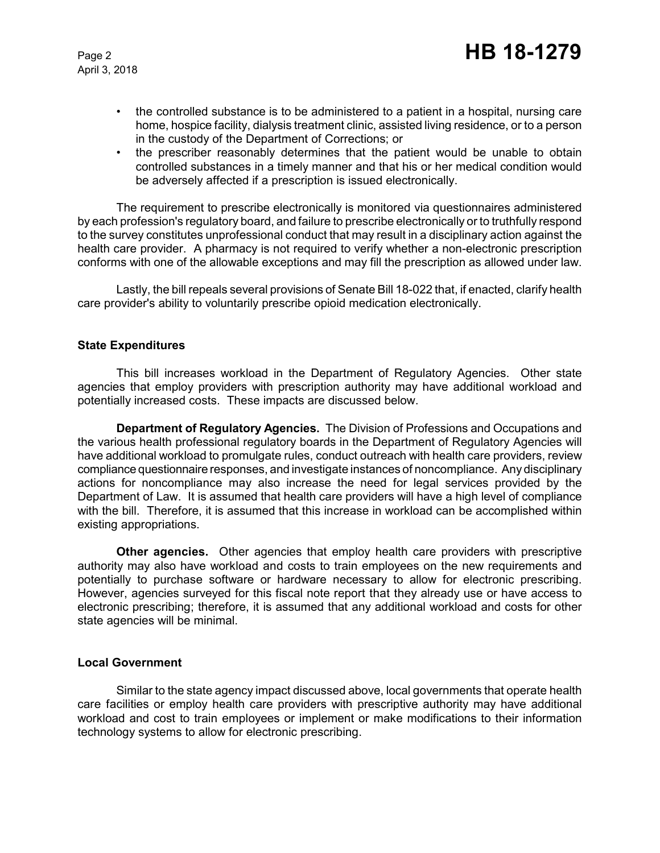April 3, 2018

- the controlled substance is to be administered to a patient in a hospital, nursing care home, hospice facility, dialysis treatment clinic, assisted living residence, or to a person in the custody of the Department of Corrections; or
- the prescriber reasonably determines that the patient would be unable to obtain controlled substances in a timely manner and that his or her medical condition would be adversely affected if a prescription is issued electronically.

The requirement to prescribe electronically is monitored via questionnaires administered by each profession's regulatory board, and failure to prescribe electronically or to truthfully respond to the survey constitutes unprofessional conduct that may result in a disciplinary action against the health care provider. A pharmacy is not required to verify whether a non-electronic prescription conforms with one of the allowable exceptions and may fill the prescription as allowed under law.

Lastly, the bill repeals several provisions of Senate Bill 18-022 that, if enacted, clarify health care provider's ability to voluntarily prescribe opioid medication electronically.

## **State Expenditures**

This bill increases workload in the Department of Regulatory Agencies. Other state agencies that employ providers with prescription authority may have additional workload and potentially increased costs. These impacts are discussed below.

**Department of Regulatory Agencies.** The Division of Professions and Occupations and the various health professional regulatory boards in the Department of Regulatory Agencies will have additional workload to promulgate rules, conduct outreach with health care providers, review compliance questionnaire responses, and investigate instances of noncompliance. Any disciplinary actions for noncompliance may also increase the need for legal services provided by the Department of Law. It is assumed that health care providers will have a high level of compliance with the bill. Therefore, it is assumed that this increase in workload can be accomplished within existing appropriations.

**Other agencies.** Other agencies that employ health care providers with prescriptive authority may also have workload and costs to train employees on the new requirements and potentially to purchase software or hardware necessary to allow for electronic prescribing. However, agencies surveyed for this fiscal note report that they already use or have access to electronic prescribing; therefore, it is assumed that any additional workload and costs for other state agencies will be minimal.

#### **Local Government**

Similar to the state agency impact discussed above, local governments that operate health care facilities or employ health care providers with prescriptive authority may have additional workload and cost to train employees or implement or make modifications to their information technology systems to allow for electronic prescribing.